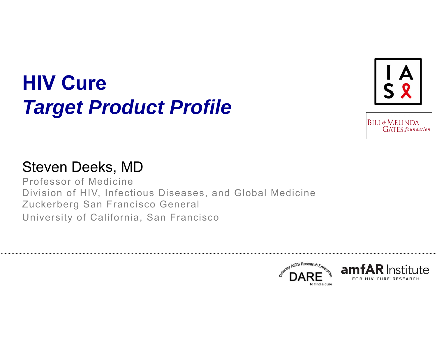# **HIV Cure** *Target Product Profile*





#### Steven Deeks, MD

Professor of MedicineDivision of HIV, Infectious Diseases, and Global Medicine Zuckerberg San Francisco General University of California, San Francisco

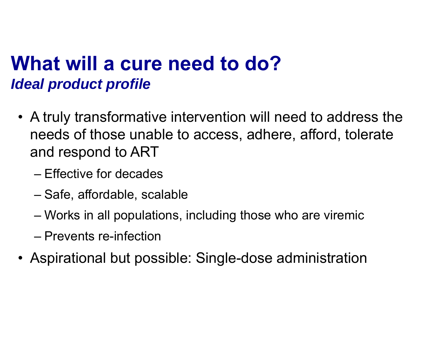## **What will a cure need to do?***Ideal product profile*

- A truly transformative intervention will need to address the needs of those unable to access, adhere, afford, tolerate and respond to ART
	- Effective for decades
	- –Safe, affordable, scalable
	- –Works in all populations, including those who are viremic
	- Prevents re-infection
- Aspirational but possible: Single-dose administration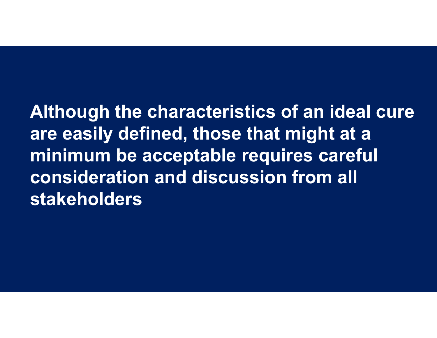**Although the characteristics of an ideal cure are easily defined, those that might at a minimum be acceptable requires careful consideration and discussion from all stakeholders**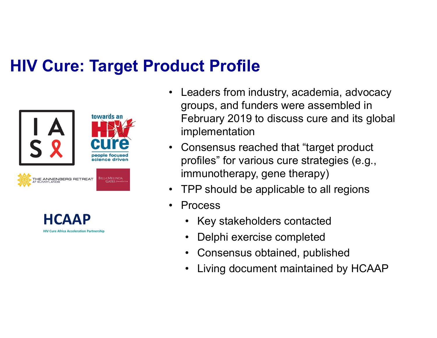#### **HIV Cure: Target Product Profile**





- • Leaders from industry, academia, advocacy groups, and funders were assembled in February 2019 to discuss cure and its global implementation
- • Consensus reached that "target product profiles" for various cure strategies (e.g., immunotherapy, gene therapy)
- •TPP should be applicable to all regions
- • Process
	- •Key stakeholders contacted
	- •Delphi exercise completed
	- •Consensus obtained, published
	- •Living document maintained by HCAAP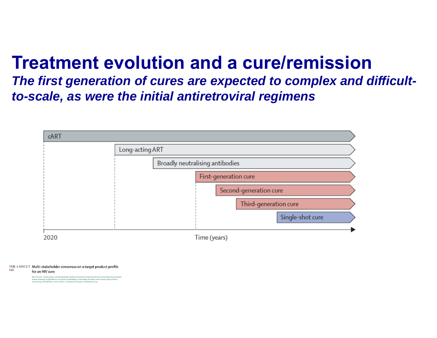### **Treatment evolution and a cure/remission**

*The first generation of cures are expected to complex and difficultto-scale, as were the initial antiretroviral regimens*



THE LANCET Multi-stakeholder consensus on a target product profile

**HIV** for an HIV cure

ron R Lewin", Timothy Attoye, Cathy Bansbach, Brian Doehle, Karine Dubé, Mark Dybul, Devi SenGupta, Adam Jiang, Rowena John<br>Inne Lamplough, Joseph M McCune. Gary) Nabel, Thumbi Ndung'u, John Pottage, David Ripin, James F R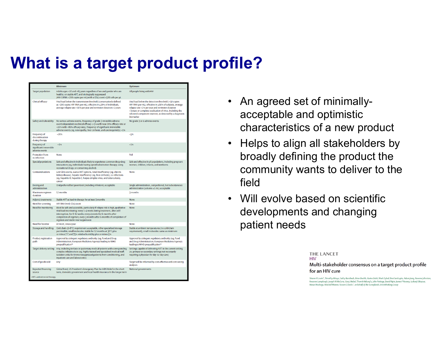#### **What is a target product profile?**

|                                                                   | <b>Minimum</b>                                                                                                                                                                                                                                                                                                                          | Optimum                                                                                                                                                                                                                                                                                                  |
|-------------------------------------------------------------------|-----------------------------------------------------------------------------------------------------------------------------------------------------------------------------------------------------------------------------------------------------------------------------------------------------------------------------------------|----------------------------------------------------------------------------------------------------------------------------------------------------------------------------------------------------------------------------------------------------------------------------------------------------------|
| <b>Target population</b>                                          | Adults ages >16 and <65 years regardless of sex and gender who are<br>healthy, on stable ART, and virologically suppressed<br>(HIV-1 RNA <200 copies per mL) with a CD4 count >500 cells per µL                                                                                                                                         | All people living with HIV                                                                                                                                                                                                                                                                               |
| <b>Clinical efficacy</b>                                          | Viral load below the transmission threshold (conservatively defined<br>as <200 copies HIV RNA per mL), effective in ≥20% of individuals,<br>average relapse rate <10% per year and remission duration >2 years                                                                                                                          | Viral load below the detection threshold (<50 copies<br>HIV RNA per mL), effective in ≥90% of subjects, average<br>relapse rate <2% per year and remission duration<br>>3 years or complete eradication of virus, including the<br>rebound-competent reservoir, as detected by a diagnostic<br>biomarker |
| Safety and tolerability                                           | No serious adverse events, frequency of grade 3 reversible adverse<br>events dependent on clinical efficacy (<5% with near 20% efficacy rate or<br><20% with >80% efficacy rate), frequency of significant irreversible<br>adverse events (eg, neuropathy, liver cirrhosis, and carcinogenicity) <1%                                    | No grade 3 or 4 adverse events                                                                                                                                                                                                                                                                           |
| Frequency of<br>discontinuation<br>during therapy                 | < 20%                                                                                                                                                                                                                                                                                                                                   | 5%                                                                                                                                                                                                                                                                                                       |
| <b>Frequency of</b><br>significant irreversible<br>adverse events | $~1\%$                                                                                                                                                                                                                                                                                                                                  | $-1%$                                                                                                                                                                                                                                                                                                    |
| <b>Protection from</b><br>re-infection                            | <b>None</b>                                                                                                                                                                                                                                                                                                                             | Full                                                                                                                                                                                                                                                                                                     |
| <b>Special populations</b>                                        | Safe and effective in individuals likely to experience common drug-drug<br>interactions (eq, individuals having opioid substitution therapy, using<br>recreational drugs, or consuming alcohol)                                                                                                                                         | Safe and effective in all populations, including pregnant<br>women, children, infants, and newborns                                                                                                                                                                                                      |
| Contraindications                                                 | Low CD4 counts, scarce ART options, renal insufficiency (eq. chronic<br>kidney disease), hepatic insufficiency (eq. liver cirrhosis), co-infections<br>(eq, hepatitis B, hepatitis C, herpes simplex virus, and tuberculosis),<br>cancer                                                                                                | <b>None</b>                                                                                                                                                                                                                                                                                              |
| Dosing and<br>administration                                      | Oral preferred but parenteral (including infusions) acceptable                                                                                                                                                                                                                                                                          | Single administration, oral preferred, but subcutaneous<br>administration (volume ≤1 mL) acceptable                                                                                                                                                                                                      |
| Maximum regimen<br>duration                                       | 12 months                                                                                                                                                                                                                                                                                                                               | 3 months                                                                                                                                                                                                                                                                                                 |
| <b>Adjunct treatments</b>                                         | Stable ART as lead-in therapy for at least 3 months                                                                                                                                                                                                                                                                                     | <b>None</b>                                                                                                                                                                                                                                                                                              |
| Need for screening                                                | HIV RNA level, CD4 count                                                                                                                                                                                                                                                                                                                | None                                                                                                                                                                                                                                                                                                     |
| Need for monitoring                                               | Must be safe and accessible, particularly if relapse risk is high, qualitative<br>viral load monitoring: every 1-4 weeks during treatment, after ART<br>interruption, for 8-12 weeks; every 4 weeks for 6 months after<br>completion of regimen; every 3 months after 6 months of completion of<br>regimen and stable viral suppression | None                                                                                                                                                                                                                                                                                                     |
| <b>Need for booster</b>                                           | At most, once a year                                                                                                                                                                                                                                                                                                                    | <b>None</b>                                                                                                                                                                                                                                                                                              |
| <b>Storage and handling</b>                                       | Cold chain (2-8°C) requirement acceptable, other specialised storage<br>permissible, small molecules: stable for 12 months at 30°C plus<br>or minus 2°C and 75% relative humidity plus or minus 5%                                                                                                                                      | Stable at ambient temperatures (no cold chain<br>requirement), small molecules: same as minimum                                                                                                                                                                                                          |
| Product registration<br>path                                      | Approval by stringent regulatory authority (eg, Food and Drug<br>Administration, European Medicines Agency) leading to WHO<br>prequalification <sup>29</sup>                                                                                                                                                                            | Approval by stringent regulatory authority (eq, Food<br>and Drug Administration, European Medicines Agency)<br>leading to WHO prequalification <sup>29</sup>                                                                                                                                             |
| Target delivery setting                                           | Any, including tertiary or quaternary medical systems with corresponding<br>complex infrastructure (eq. highly trained and specialised medical staff,<br>isolation units for immunosuppressed patients from conditioning, and<br>inpatient care and laboratories)                                                                       | Settings capable of delivering ART in the current setting<br>(ie, primary or secondary settings not necessarily<br>requiring a physician for day-to-day care)                                                                                                                                            |
| Cost of goods sold                                                | Any                                                                                                                                                                                                                                                                                                                                     | Target will be informed by cost-effective and cost-saving<br>analyses                                                                                                                                                                                                                                    |
| <b>Expected financing</b><br>source                               | Global Fund, US President's Emergency Plan for AIDS Relief in the short<br>term, domestic government and local health insurance in the longer term                                                                                                                                                                                      | <b>National governments</b>                                                                                                                                                                                                                                                                              |
| ART-antiretroviral therapy.                                       |                                                                                                                                                                                                                                                                                                                                         |                                                                                                                                                                                                                                                                                                          |

- $\bullet$  An agreed set of minimallyacceptable and optimistic characteristics of a new product
- Helps to align all stakeholders by broadly defining the product the community wants to deliver to the field
- Will evolve based on scientific developments and changing patient needs

**THE LANCET HIV** 

Multi-stakeholder consensus on a target product profile for an HIV cure

Sharon R Lewin\*, Timothy Attoye, Cathy Bansbach, Brian Doehle, Karine Dubé, Mark Dybul, Devi SenGupta, Adam Jiang, Rowena Johnston, osanne Lamplough, Joseph M McCune, Gary J Nabel, Thumbi Ndung'u, John Pottage, David Ripin, James F Rooney, Izukanji Sikazwe, Moses Nsubuga, Mitchell Warren, Steven G Deeks<sup>\*</sup>, on behalf of the Sunnylands 2019 Working Group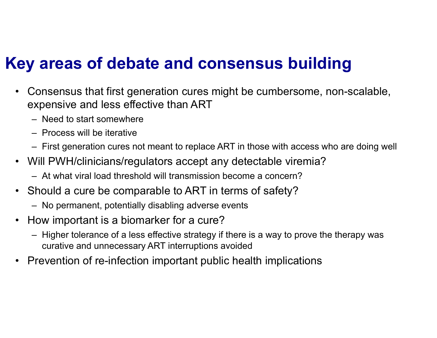#### **Key areas of debate and consensus building**

- • Consensus that first generation cures might be cumbersome, non-scalable, expensive and less effective than ART
	- Need to start somewhere
	- Process will be iterative
	- First generation cures not meant to replace ART in those with access who are doing well
- Will PWH/clinicians/regulators accept any detectable viremia?
	- At what viral load threshold will transmission become a concern?
- Should a cure be comparable to ART in terms of safety?
	- No permanent, potentially disabling adverse events
- $\bullet$  How important is a biomarker for a cure?
	- Higher tolerance of a less effective strategy if there is a way to prove the therapy was curative and unnecessary ART interruptions avoided
- Prevention of re-infection important public health implication s